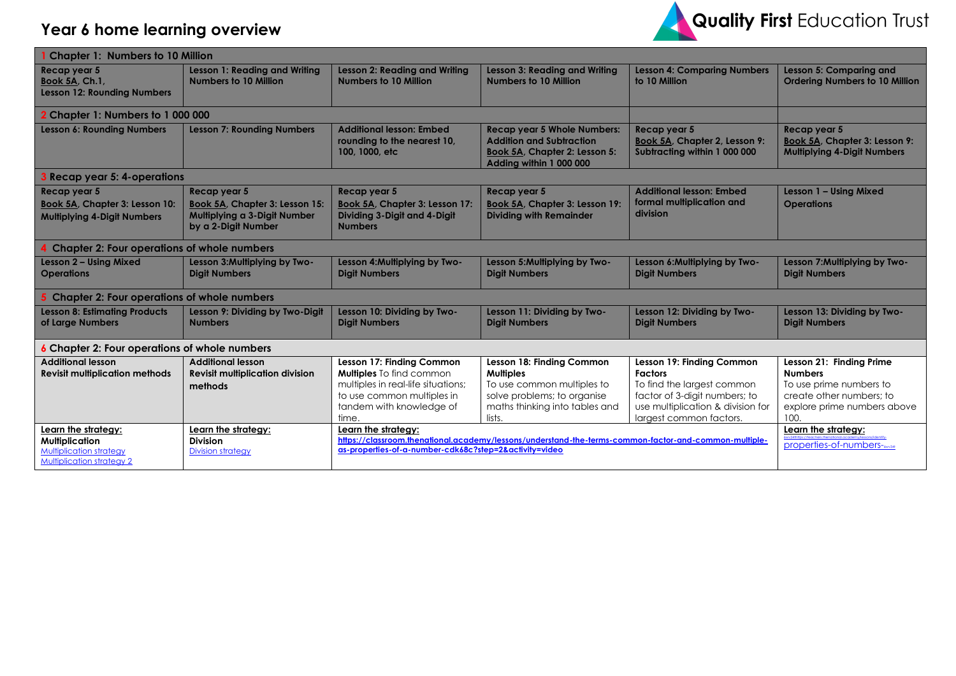

| <b>Chapter 1: Numbers to 10 Million</b>                                                                            |                                                                                                       |                                                                                                                                                                                        |                                                                                                                                                        |                                                                                                                                                                            |                                                                                                                                          |  |
|--------------------------------------------------------------------------------------------------------------------|-------------------------------------------------------------------------------------------------------|----------------------------------------------------------------------------------------------------------------------------------------------------------------------------------------|--------------------------------------------------------------------------------------------------------------------------------------------------------|----------------------------------------------------------------------------------------------------------------------------------------------------------------------------|------------------------------------------------------------------------------------------------------------------------------------------|--|
| Recap year 5<br><b>Book 5A, Ch.1,</b><br><b>Lesson 12: Rounding Numbers</b>                                        | <b>Lesson 1: Reading and Writing</b><br>Numbers to 10 Million                                         | <b>Lesson 2: Reading and Writing</b><br><b>Numbers to 10 Million</b>                                                                                                                   | <b>Lesson 3: Reading and Writing</b><br><b>Numbers to 10 Million</b>                                                                                   | <b>Lesson 4: Comparing Numbers</b><br>to 10 Million                                                                                                                        | Lesson 5: Comparing and<br><b>Ordering Numbers to 10 Million</b>                                                                         |  |
| 2 Chapter 1: Numbers to 1 000 000                                                                                  |                                                                                                       |                                                                                                                                                                                        |                                                                                                                                                        |                                                                                                                                                                            |                                                                                                                                          |  |
| <b>Lesson 6: Rounding Numbers</b>                                                                                  | <b>Lesson 7: Rounding Numbers</b>                                                                     | <b>Additional lesson: Embed</b><br>rounding to the nearest 10,<br>100, 1000, etc                                                                                                       | <b>Recap year 5 Whole Numbers:</b><br><b>Addition and Subtraction</b><br>Book 5A, Chapter 2: Lesson 5:<br>Adding within 1 000 000                      | Recap year 5<br>Book 5A, Chapter 2, Lesson 9:<br>Subtracting within 1 000 000                                                                                              | Recap year 5<br><b>Book 5A, Chapter 3: Lesson 9:</b><br><b>Multiplying 4-Digit Numbers</b>                                               |  |
| 3 Recap year 5: 4-operations                                                                                       |                                                                                                       |                                                                                                                                                                                        |                                                                                                                                                        |                                                                                                                                                                            |                                                                                                                                          |  |
| Recap year 5<br><b>Book 5A, Chapter 3: Lesson 10:</b><br><b>Multiplying 4-Digit Numbers</b>                        | Recap year 5<br>Book 5A, Chapter 3: Lesson 15:<br>Multiplying a 3-Digit Number<br>by a 2-Digit Number | Recap year 5<br>Book 5A, Chapter 3: Lesson 17:<br>Dividing 3-Digit and 4-Digit<br><b>Numbers</b>                                                                                       | Recap year 5<br><b>Book 5A, Chapter 3: Lesson 19:</b><br><b>Dividing with Remainder</b>                                                                | <b>Additional lesson: Embed</b><br>formal multiplication and<br>division                                                                                                   | Lesson 1 - Using Mixed<br><b>Operations</b>                                                                                              |  |
| <b>Chapter 2: Four operations of whole numbers</b>                                                                 |                                                                                                       |                                                                                                                                                                                        |                                                                                                                                                        |                                                                                                                                                                            |                                                                                                                                          |  |
| Lesson 2 - Using Mixed<br><b>Operations</b>                                                                        | Lesson 3: Multiplying by Two-<br><b>Digit Numbers</b>                                                 | Lesson 4: Multiplying by Two-<br><b>Digit Numbers</b>                                                                                                                                  | Lesson 5: Multiplying by Two-<br><b>Digit Numbers</b>                                                                                                  | Lesson 6: Multiplying by Two-<br><b>Digit Numbers</b>                                                                                                                      | Lesson 7: Multiplying by Two-<br><b>Digit Numbers</b>                                                                                    |  |
| <b>Chapter 2: Four operations of whole numbers</b>                                                                 |                                                                                                       |                                                                                                                                                                                        |                                                                                                                                                        |                                                                                                                                                                            |                                                                                                                                          |  |
| <b>Lesson 8: Estimating Products</b><br>of Large Numbers                                                           | Lesson 9: Dividing by Two-Digit<br><b>Numbers</b>                                                     | Lesson 10: Dividing by Two-<br><b>Digit Numbers</b>                                                                                                                                    | Lesson 11: Dividing by Two-<br><b>Digit Numbers</b>                                                                                                    | Lesson 12: Dividing by Two-<br><b>Digit Numbers</b>                                                                                                                        | Lesson 13: Dividing by Two-<br><b>Digit Numbers</b>                                                                                      |  |
| <b>6</b> Chapter 2: Four operations of whole numbers                                                               |                                                                                                       |                                                                                                                                                                                        |                                                                                                                                                        |                                                                                                                                                                            |                                                                                                                                          |  |
| <b>Additional lesson</b><br><b>Revisit multiplication methods</b>                                                  | <b>Additional lesson</b><br><b>Revisit multiplication division</b><br>methods                         | Lesson 17: Finding Common<br><b>Multiples</b> To find common<br>multiples in real-life situations;<br>to use common multiples in<br>tandem with knowledge of<br>time.                  | Lesson 18: Finding Common<br><b>Multiples</b><br>To use common multiples to<br>solve problems; to organise<br>maths thinking into tables and<br>lists. | Lesson 19: Finding Common<br><b>Factors</b><br>To find the largest common<br>factor of 3-digit numbers; to<br>use multiplication & division for<br>largest common factors. | Lesson 21: Finding Prime<br><b>Numbers</b><br>To use prime numbers to<br>create other numbers; to<br>explore prime numbers above<br>100. |  |
| Learn the strategy:<br><b>Multiplication</b><br><b>Multiplication strategy</b><br><b>Multiplication strategy 2</b> | Learn the strategy:<br><b>Division</b><br><b>Division strategy</b>                                    | Learn the strategy:<br>https://classroom.thenational.academy/lessons/understand-the-terms-common-factor-and-common-multiple-<br>as-properties-of-a-number-cdk68c?step=2&activity=video |                                                                                                                                                        |                                                                                                                                                                            | Learn the strategy:<br>properties-of-numbers-                                                                                            |  |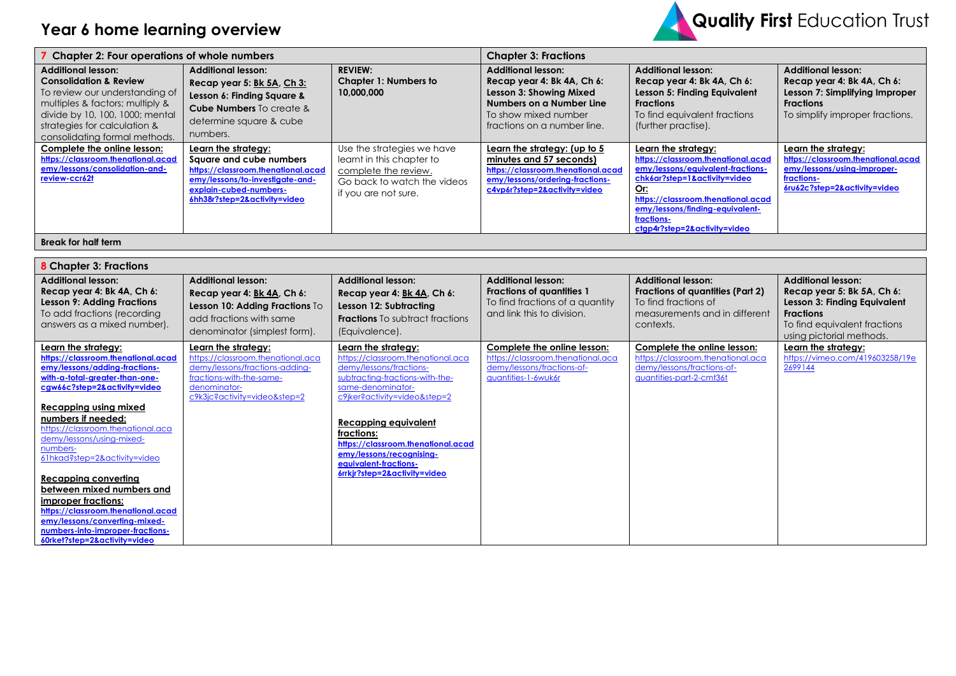

| <b>Chapter 2: Four operations of whole numbers</b>                                                                                                                                                                                      |                                                                                                                                                                                   | <b>Chapter 3: Fractions</b>                                                                                                            |                                                                                                                                                                       |                                                                                                                                                                                                                                                              |                                                                                                                                                  |  |
|-----------------------------------------------------------------------------------------------------------------------------------------------------------------------------------------------------------------------------------------|-----------------------------------------------------------------------------------------------------------------------------------------------------------------------------------|----------------------------------------------------------------------------------------------------------------------------------------|-----------------------------------------------------------------------------------------------------------------------------------------------------------------------|--------------------------------------------------------------------------------------------------------------------------------------------------------------------------------------------------------------------------------------------------------------|--------------------------------------------------------------------------------------------------------------------------------------------------|--|
| <b>Additional lesson:</b><br><b>Consolidation &amp; Review</b><br>To review our understanding of<br>multiples & factors; multiply &<br>divide by 10, 100, 1000; mental<br>strategies for calculation &<br>consolidating formal methods. | <b>Additional lesson:</b><br>Recap year 5: Bk 5A, Ch 3:<br>Lesson 6: Finding Square &<br><b>Cube Numbers</b> To create &<br>determine square & cube<br>numbers.                   | <b>REVIEW:</b><br><b>Chapter 1: Numbers to</b><br>10,000,000                                                                           | <b>Additional lesson:</b><br>Recap year 4: Bk 4A, Ch 6:<br>Lesson 3: Showing Mixed<br>Numbers on a Number Line<br>To show mixed number<br>fractions on a number line. | <b>Additional lesson:</b><br>Recap year 4: Bk 4A, Ch 6:<br>Lesson 5: Finding Equivalent<br><b>Fractions</b><br>To find equivalent fractions<br>(further practise).                                                                                           | <b>Additional lesson:</b><br>Recap year 4: Bk 4A, Ch 6:<br>Lesson 7: Simplifying Improper<br><b>Fractions</b><br>To simplify improper fractions. |  |
| Complete the online lesson:<br>https://classroom.thenational.acad<br>emy/lessons/consolidation-and-<br>review-ccr62t                                                                                                                    | Learn the strategy:<br>Square and cube numbers<br>https://classroom.thenational.acad<br>emy/lessons/to-investigate-and-<br>explain-cubed-numbers-<br>6hh38r?step=2&activity=video | Use the strategies we have<br>learnt in this chapter to<br>complete the review.<br>Go back to watch the videos<br>if you are not sure. | Learn the strategy: (up to 5<br>minutes and 57 seconds)<br>https://classroom.thenational.acad<br>emy/lessons/ordering-fractions-<br>c4vp6r?step=2&activity=video      | Learn the strategy:<br>https://classroom.thenational.acad<br>emy/lessons/equivalent-fractions-<br>chk6ar?step=1&activity=video<br>Or:<br>https://classroom.thenational.acad<br>emy/lessons/finding-equivalent-<br>fractions-<br>ctgp4r?step=2&activity=video | Learn the strategy:<br>https://classroom.thenational.acad<br>emy/lessons/using-improper-<br>fractions-<br>6ru62c?step=2&activity=video           |  |
| <b>Break for half term</b>                                                                                                                                                                                                              |                                                                                                                                                                                   |                                                                                                                                        |                                                                                                                                                                       |                                                                                                                                                                                                                                                              |                                                                                                                                                  |  |

| <b>8</b> Chapter 3: Fractions                                                                                                                                                                                                                                                                                                                                                                                                                                                                                                                    |                                                                                                                                                                        |                                                                                                                                                                                                                                                                                                                                              |                                                                                                                                |                                                                                                                                     |                                                                                                                                                                         |  |
|--------------------------------------------------------------------------------------------------------------------------------------------------------------------------------------------------------------------------------------------------------------------------------------------------------------------------------------------------------------------------------------------------------------------------------------------------------------------------------------------------------------------------------------------------|------------------------------------------------------------------------------------------------------------------------------------------------------------------------|----------------------------------------------------------------------------------------------------------------------------------------------------------------------------------------------------------------------------------------------------------------------------------------------------------------------------------------------|--------------------------------------------------------------------------------------------------------------------------------|-------------------------------------------------------------------------------------------------------------------------------------|-------------------------------------------------------------------------------------------------------------------------------------------------------------------------|--|
| <b>Additional lesson:</b><br>Recap year 4: Bk 4A, Ch 6:<br><b>Lesson 9: Adding Fractions</b><br>To add fractions (recording<br>answers as a mixed number).                                                                                                                                                                                                                                                                                                                                                                                       | <b>Additional lesson:</b><br>Recap year 4: Bk 4A, Ch 6:<br>Lesson 10: Adding Fractions To<br>add fractions with same<br>denominator (simplest form).                   | <b>Additional lesson:</b><br>Recap year 4: Bk 4A, Ch 6:<br>Lesson 12: Subtracting<br><b>Fractions</b> To subtract fractions<br>(Equivalence).                                                                                                                                                                                                | <b>Additional lesson:</b><br><b>Fractions of quantities 1</b><br>To find fractions of a quantity<br>and link this to division. | <b>Additional lesson:</b><br>Fractions of quantities (Part 2)<br>To find fractions of<br>measurements and in different<br>contexts. | <b>Additional lesson:</b><br>Recap year 5: Bk 5A, Ch 6:<br>Lesson 3: Finding Equivalent<br><b>Fractions</b><br>To find equivalent fractions<br>using pictorial methods. |  |
| Learn the strategy:<br>https://classroom.thenational.acad<br>emy/lessons/adding-fractions-<br>with-a-total-greater-than-one-<br>caw66c?step=2&activity=video<br>Recapping using mixed<br>numbers if needed:<br>https://classroom.thenational.aca<br>demy/lessons/using-mixed-<br>numbers-<br>61hkad?step=2&activity=video<br>Recapping converting<br>between mixed numbers and<br>improper fractions:<br>https://classroom.thenational.acad<br>emy/lessons/converting-mixed-<br>numbers-into-improper-fractions-<br>60rket?step=2&activity=video | Learn the strategy:<br>https://classroom.thenational.aca<br>demy/lessons/fractions-adding-<br>fractions-with-the-same-<br>denominator-<br>c9k3jc?activity=video&step=2 | Learn the strategy:<br>https://classroom.thenational.aca<br>demy/lessons/fractions-<br>subtracting-fractions-with-the-<br>same-denominator-<br>c9iker?activity=video&step=2<br>Recapping equivalent<br>fractions:<br>https://classroom.thenational.acad<br>emy/lessons/recognising-<br>equivalent-fractions-<br>6rrkjr?step=2&activity=video | Complete the online lesson:<br>https://classroom.thenational.aca<br>demy/lessons/fractions-of-<br>quantities-1-6wuk6r          | Complete the online lesson:<br>https://classroom.thenational.aca<br>demy/lessons/fractions-of-<br>quantities-part-2-cmt36t          | Learn the strategy:<br>https://vimeo.com/419603258/19e<br>2699144                                                                                                       |  |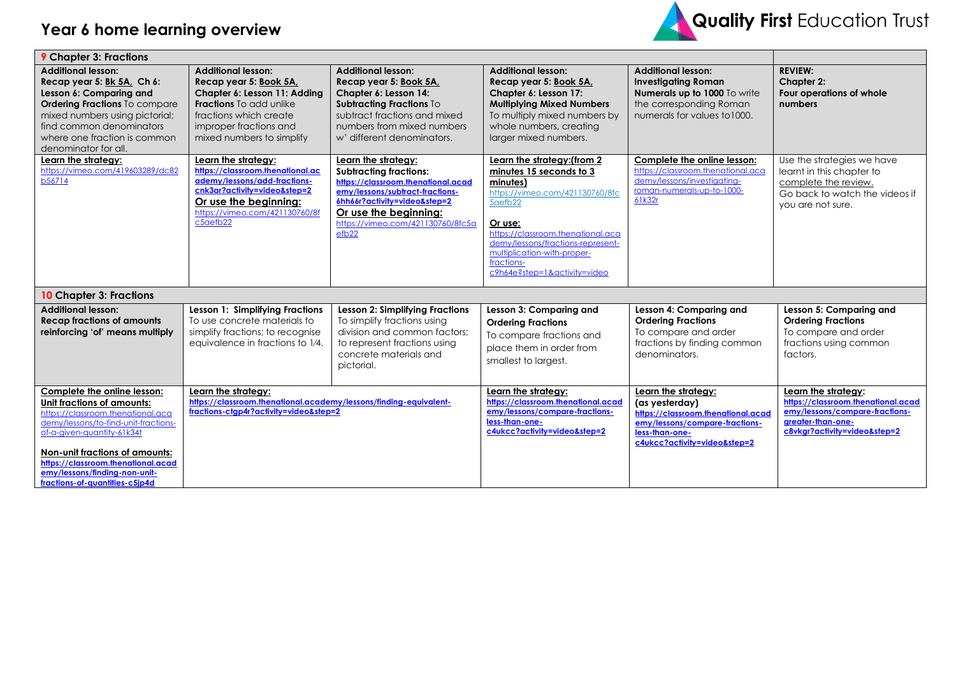

| <b>9</b> Chapter 3: Fractions                                                                                                                                                                                                                                                                                   |                                                                                                                                                                                                        |                                                                                                                                                                                                                                                  |                                                                                                                                                                                                                                                                                    |                                                                                                                                                                 |                                                                                                                                                  |
|-----------------------------------------------------------------------------------------------------------------------------------------------------------------------------------------------------------------------------------------------------------------------------------------------------------------|--------------------------------------------------------------------------------------------------------------------------------------------------------------------------------------------------------|--------------------------------------------------------------------------------------------------------------------------------------------------------------------------------------------------------------------------------------------------|------------------------------------------------------------------------------------------------------------------------------------------------------------------------------------------------------------------------------------------------------------------------------------|-----------------------------------------------------------------------------------------------------------------------------------------------------------------|--------------------------------------------------------------------------------------------------------------------------------------------------|
| <b>Additional lesson:</b><br>Recap year 5: Bk 5A, Ch 6:<br>Lesson 6: Comparing and<br>Ordering Fractions To compare<br>mixed numbers using pictorial;<br>find common denominators<br>where one fraction is common<br>denominator for all.                                                                       | <b>Additional lesson:</b><br>Recap year 5: Book 5A,<br>Chapter 6: Lesson 11: Adding<br><b>Fractions</b> To add unlike<br>fractions which create<br>improper fractions and<br>mixed numbers to simplify | <b>Additional lesson:</b><br>Recap year 5: Book 5A,<br>Chapter 6: Lesson 14:<br>Subtracting Fractions To<br>subtract fractions and mixed<br>numbers from mixed numbers<br>w' different denominators.                                             | <b>Additional lesson:</b><br>Recap year 5: Book 5A,<br>Chapter 6: Lesson 17:<br><b>Multiplying Mixed Numbers</b><br>To multiply mixed numbers by<br>whole numbers, creating<br>larger mixed numbers.                                                                               | <b>Additional lesson:</b><br><b>Investigating Roman</b><br>Numerals up to 1000 To write<br>the corresponding Roman<br>numerals for values to 1000.              | <b>REVIEW:</b><br><b>Chapter 2:</b><br>Four operations of whole<br>numbers                                                                       |
| Learn the strategy:<br>https://vimeo.com/419603289/dc82<br>b56714                                                                                                                                                                                                                                               | Learn the strategy:<br>https://classroom.thenational.ac<br>ademy/lessons/add-fractions-<br>cnk3ar?activity=video&step=2<br>Or use the beginning:<br>https://vimeo.com/421130760/8f<br>c5aefb22         | Learn the strategy:<br><b>Subtracting fractions:</b><br>https://classroom.thenational.acad<br>emy/lessons/subtract-fractions-<br>6hh66r?activity=video&step=2<br>Or use the beginning:<br>https://vimeo.com/421130760/8fc5a<br>efb <sub>22</sub> | Learn the strategy: (from 2<br>minutes 15 seconds to 3<br>minutes)<br>https://vimeo.com/421130760/8fc<br>5aefb22<br>Or use:<br>https://classroom.thenational.aca<br>demy/lessons/fractions-represent-<br>multiplication-with-proper-<br>fractions-<br>c9h64e?step=1&activity=video | Complete the online lesson:<br>https://classroom.thenational.aca<br>demy/lessons/investigating-<br>roman-numerals-up-to-1000-<br>61k32r                         | Use the strategies we have<br>learnt in this chapter to<br>complete the review.<br>Go back to watch the videos if<br>you are not sure.           |
| <b>10 Chapter 3: Fractions</b>                                                                                                                                                                                                                                                                                  |                                                                                                                                                                                                        |                                                                                                                                                                                                                                                  |                                                                                                                                                                                                                                                                                    |                                                                                                                                                                 |                                                                                                                                                  |
| <b>Additional lesson:</b><br><b>Recap fractions of amounts</b><br>reinforcing 'of' means multiply                                                                                                                                                                                                               | Lesson 1: Simplifying Fractions<br>To use concrete materials to<br>simplify fractions; to recognise<br>equivalence in fractions to 1/4.                                                                | Lesson 2: Simplifying Fractions<br>To simplify fractions using<br>division and common factors;<br>to represent fractions using<br>concrete materials and<br>pictorial.                                                                           | Lesson 3: Comparing and<br><b>Ordering Fractions</b><br>To compare fractions and<br>place them in order from<br>smallest to largest.                                                                                                                                               | Lesson 4: Comparing and<br><b>Ordering Fractions</b><br>To compare and order<br>fractions by finding common<br>denominators.                                    | Lesson 5: Comparing and<br><b>Ordering Fractions</b><br>To compare and order<br>fractions using common<br>factors.                               |
| Complete the online lesson:<br>Unit fractions of amounts:<br>https://classroom.thenational.aca<br>demy/lessons/to-find-unit-fractions-<br>of-a-given-quantity-61k34t<br>Non-unit fractions of amounts:<br>https://classroom.thenational.acad<br>emy/lessons/finding-non-unit-<br>fractions-of-quantities-c5jp4d | Learn the strateav:<br>https://classroom.thenational.academy/lessons/finding-equivalent-<br>fractions-ctap4r?activity=video&step=2                                                                     |                                                                                                                                                                                                                                                  | Learn the strategy:<br>https://classroom.thenational.acad<br>emy/lessons/compare-fractions-<br>less-than-one-<br>c4ukcc?activity=video&step=2                                                                                                                                      | Learn the strateav:<br>(as yesterday)<br>https://classroom.thenational.acad<br>emy/lessons/compare-fractions-<br>less-than-one-<br>c4ukcc?activity=video&step=2 | Learn the strategy:<br>https://classroom.thenational.acad<br>emy/lessons/compare-fractions-<br>greater-than-one-<br>c8vkgr?activity=video&step=2 |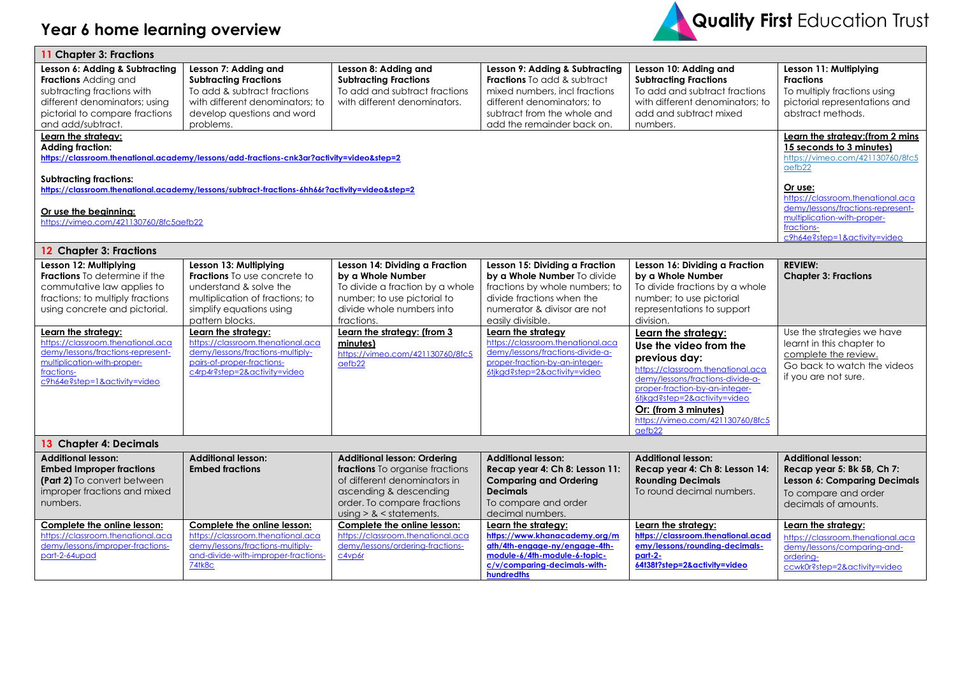

| 11 Chapter 3: Fractions                                                                                                                                                                                                                                                                                                                                                                                                                                                               |                                                                                                                                                                                                                                                                                                                                         |                                                                                                                                                                                                                                                           |                                                                                                                                                                                                                                                                                                                                                   |                                                                                                                                                                                                                                                                                                                                                                                                                                                 |                                                                                                                                                                                         |  |
|---------------------------------------------------------------------------------------------------------------------------------------------------------------------------------------------------------------------------------------------------------------------------------------------------------------------------------------------------------------------------------------------------------------------------------------------------------------------------------------|-----------------------------------------------------------------------------------------------------------------------------------------------------------------------------------------------------------------------------------------------------------------------------------------------------------------------------------------|-----------------------------------------------------------------------------------------------------------------------------------------------------------------------------------------------------------------------------------------------------------|---------------------------------------------------------------------------------------------------------------------------------------------------------------------------------------------------------------------------------------------------------------------------------------------------------------------------------------------------|-------------------------------------------------------------------------------------------------------------------------------------------------------------------------------------------------------------------------------------------------------------------------------------------------------------------------------------------------------------------------------------------------------------------------------------------------|-----------------------------------------------------------------------------------------------------------------------------------------------------------------------------------------|--|
| Lesson 6: Adding & Subtracting<br>Fractions Adding and<br>subtracting fractions with<br>different denominators; using<br>pictorial to compare fractions<br>and add/subtract.<br>Learn the strategy:<br><b>Adding fraction:</b><br>https://classroom.thenational.academy/lessons/add-fractions-cnk3ar?activity=video&step=2<br><b>Subtracting fractions:</b><br>https://classroom.thenational.academy/lessons/subtract-fractions-6hh66r?activity=video&step=2<br>Or use the beginning: | Lesson 11: Multiplying<br><b>Fractions</b><br>To multiply fractions using<br>pictorial representations and<br>abstract methods.<br>Learn the strategy: (from 2 mins<br>15 seconds to 3 minutes)<br>https://vimeo.com/421130760/8fc5<br>aefb22<br>Or use:<br>https://classroom.thenational.aca<br>demy/lessons/fractions-represent-      |                                                                                                                                                                                                                                                           |                                                                                                                                                                                                                                                                                                                                                   |                                                                                                                                                                                                                                                                                                                                                                                                                                                 |                                                                                                                                                                                         |  |
| https://vimeo.com/421130760/8fc5aefb22                                                                                                                                                                                                                                                                                                                                                                                                                                                |                                                                                                                                                                                                                                                                                                                                         |                                                                                                                                                                                                                                                           |                                                                                                                                                                                                                                                                                                                                                   |                                                                                                                                                                                                                                                                                                                                                                                                                                                 | multiplication-with-proper-<br>fractions-<br>c9h64e?step=1&activity=video                                                                                                               |  |
| 12 Chapter 3: Fractions                                                                                                                                                                                                                                                                                                                                                                                                                                                               |                                                                                                                                                                                                                                                                                                                                         |                                                                                                                                                                                                                                                           |                                                                                                                                                                                                                                                                                                                                                   |                                                                                                                                                                                                                                                                                                                                                                                                                                                 |                                                                                                                                                                                         |  |
| Lesson 12: Multiplying<br><b>Fractions</b> To determine if the<br>commutative law applies to<br>fractions; to multiply fractions<br>using concrete and pictorial.<br>Learn the strategy:<br>https://classroom.thenational.aca<br>demy/lessons/fractions-represent-<br>multiplication-with-proper-<br>fractions-<br>c9h64e?step=1&activity=video                                                                                                                                       | Lesson 13: Multiplying<br><b>Fractions</b> To use concrete to<br>understand & solve the<br>multiplication of fractions; to<br>simplify equations using<br>pattern blocks.<br>Learn the strategy:<br>https://classroom.thenational.aca<br>demy/lessons/fractions-multiply-<br>pairs-of-proper-fractions-<br>c4rp4r?step=2&activity=video | Lesson 14: Dividing a Fraction<br>by a Whole Number<br>To divide a fraction by a whole<br>number; to use pictorial to<br>divide whole numbers into<br>fractions.<br>Learn the strategy: (from 3<br>minutes)<br>https://vimeo.com/421130760/8fc5<br>aefb22 | Lesson 15: Dividing a Fraction<br>by a Whole Number To divide<br>fractions by whole numbers; to<br>divide fractions when the<br>numerator & divisor are not<br>easily divisible.<br>Learn the strategy<br>https://classroom.thenational.aca<br>demy/lessons/fractions-divide-a-<br>proper-fraction-by-an-integer-<br>6tjkgd?step=2&activity=video | Lesson 16: Dividing a Fraction<br>by a Whole Number<br>To divide fractions by a whole<br>number; to use pictorial<br>representations to support<br>division.<br>Learn the strategy:<br>Use the video from the<br>previous day:<br>https://classroom.thenational.aca<br>demy/lessons/fractions-divide-a-<br>proper-fraction-by-an-integer-<br>6tjkgd?step=2&activity=video<br>Or: (from 3 minutes)<br>https://vimeo.com/421130760/8fc5<br>aefb22 | <b>REVIEW:</b><br><b>Chapter 3: Fractions</b><br>Use the strategies we have<br>learnt in this chapter to<br>complete the review.<br>Go back to watch the videos<br>if you are not sure. |  |
| 13 Chapter 4: Decimals                                                                                                                                                                                                                                                                                                                                                                                                                                                                |                                                                                                                                                                                                                                                                                                                                         |                                                                                                                                                                                                                                                           |                                                                                                                                                                                                                                                                                                                                                   |                                                                                                                                                                                                                                                                                                                                                                                                                                                 |                                                                                                                                                                                         |  |
| <b>Additional lesson:</b><br><b>Embed Improper fractions</b><br>(Part 2) To convert between<br>improper fractions and mixed<br>numbers.                                                                                                                                                                                                                                                                                                                                               | <b>Additional lesson:</b><br><b>Embed fractions</b>                                                                                                                                                                                                                                                                                     | <b>Additional lesson: Ordering</b><br><b>fractions</b> To organise fractions<br>of different denominators in<br>ascending & descending<br>order. To compare fractions<br>$using > 8$ < statements.                                                        | <b>Additional lesson:</b><br>Recap year 4: Ch 8: Lesson 11:<br><b>Comparing and Ordering</b><br><b>Decimals</b><br>To compare and order<br>decimal numbers.                                                                                                                                                                                       | <b>Additional lesson:</b><br>Recap year 4: Ch 8: Lesson 14:<br><b>Rounding Decimals</b><br>To round decimal numbers.                                                                                                                                                                                                                                                                                                                            | <b>Additional lesson:</b><br>Recap year 5: Bk 5B, Ch 7:<br>Lesson 6: Comparing Decimals<br>To compare and order<br>decimals of amounts.                                                 |  |
| Complete the online lesson:<br>https://classroom.thenational.aca<br>demy/lessons/improper-fractions-<br>part-2-64upad                                                                                                                                                                                                                                                                                                                                                                 | Complete the online lesson:<br>https://classroom.thenational.aca<br>demy/lessons/fractions-multiply-<br>and-divide-with-improper-fractions-<br>74tk8c                                                                                                                                                                                   | Complete the online lesson:<br>https://classroom.thenational.aca<br>demy/lessons/ordering-fractions-<br>c4vp6r                                                                                                                                            | Learn the strategy:<br>https://www.khanacademy.org/m<br>ath/4th-engage-ny/engage-4th-<br>module-6/4th-module-6-topic-<br>c/v/comparing-decimals-with-<br>hundredths                                                                                                                                                                               | Learn the strategy:<br>https://classroom.thenational.acad<br>emy/lessons/rounding-decimals-<br>part-2-<br>64t38t?step=2&activity=video                                                                                                                                                                                                                                                                                                          | Learn the strategy:<br>https://classroom.thenational.aca<br>demy/lessons/comparing-and-<br>ordering-<br>ccwk0r?step=2&activity=video                                                    |  |